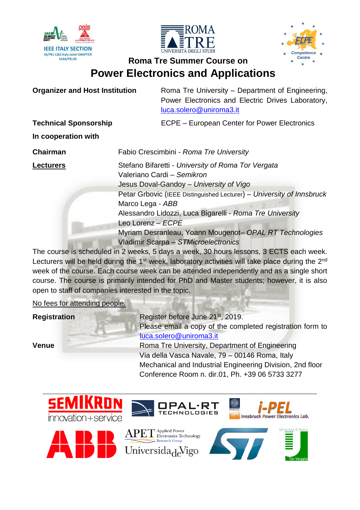





**Organizer and Host Institution** Roma Tre University – Department of Engineering, Power Electronics and Electric Drives Laboratory, [luca.solero@uniroma3.it](mailto:luca.solero@uniroma3.it)

**Technical Sponsorship** ECPE – European Center for Power Electronics

**In cooperation with**

**Chairman** Fabio Crescimbini - *Roma Tre University* **Lecturers** Stefano Bifaretti - *University of Roma Tor Vergata* Valeriano Cardi – *Semikron* Jesus Doval-Gandoy – *University of Vigo* Petar Grbovic (IEEE Distinguished Lecturer) – *University of Innsbruck* Marco Lega - *ABB* Alessandro Lidozzi, Luca Bigarelli - *Roma Tre University* Leo Lorenz – *ECPE* Myriam Desranleau, Yoann Mougenot– *OPAL RT Technologies* Vladimir Scarpa – *STMicroelectronics*

The course is scheduled in 2 weeks, 5 days a week, 30 hours lessons, 3 ECTS each week. Lecturers will be held during the  $1<sup>st</sup>$  week, laboratory activities will take place during the  $2<sup>nd</sup>$ week of the course. Each course week can be attended independently and as a single short course. The course is primarily intended for PhD and Master students; however, it is also open to staff of companies interested in the topic.

No fees for attending people.

**Registration** Register before June 21<sup>st</sup>, 2019. Please email a copy of the completed registration form to [luca.solero@uniroma3.it](mailto:luca.solero@uniroma3.it) **Venue** Roma Tre University, Department of Engineering Via della Vasca Navale, 79 – 00146 Roma, Italy Mechanical and Industrial Engineering Division, 2nd floor Conference Room n. dir.01, Ph. +39 06 5733 3277

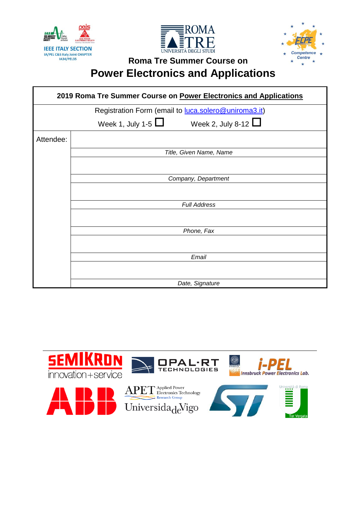





| 2019 Roma Tre Summer Course on Power Electronics and Applications |                                                     |  |  |  |  |  |
|-------------------------------------------------------------------|-----------------------------------------------------|--|--|--|--|--|
| Registration Form (email to luca.solero@uniroma3.it)              |                                                     |  |  |  |  |  |
|                                                                   | Week 1, July 1-5 $\Box$<br>Week 2, July 8-12 $\Box$ |  |  |  |  |  |
| Attendee:                                                         |                                                     |  |  |  |  |  |
|                                                                   | Title, Given Name, Name                             |  |  |  |  |  |
|                                                                   |                                                     |  |  |  |  |  |
|                                                                   | Company, Department                                 |  |  |  |  |  |
|                                                                   |                                                     |  |  |  |  |  |
|                                                                   | <b>Full Address</b>                                 |  |  |  |  |  |
|                                                                   |                                                     |  |  |  |  |  |
|                                                                   | Phone, Fax                                          |  |  |  |  |  |
|                                                                   |                                                     |  |  |  |  |  |
|                                                                   | Email                                               |  |  |  |  |  |
|                                                                   |                                                     |  |  |  |  |  |
|                                                                   | Date, Signature                                     |  |  |  |  |  |

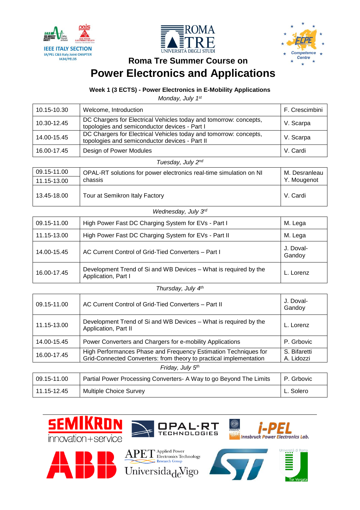





### **Week 1 (3 ECTS) - Power Electronics in E-Mobility Applications**

*Monday, July 1 st*

| 10.15-10.30       | Welcome, Introduction                                                                                               | F. Crescimbini |  |  |
|-------------------|---------------------------------------------------------------------------------------------------------------------|----------------|--|--|
| 10.30-12.45       | DC Chargers for Electrical Vehicles today and tomorrow: concepts,<br>topologies and semiconductor devices - Part I  | V. Scarpa      |  |  |
| 14.00-15.45       | DC Chargers for Electrical Vehicles today and tomorrow: concepts,<br>topologies and semiconductor devices - Part II | V. Scarpa      |  |  |
| 16.00-17.45       | Design of Power Modules                                                                                             | V. Cardi       |  |  |
| Tuesday, July 2nd |                                                                                                                     |                |  |  |

| 09.15-11.00 | OPAL-RT solutions for power electronics real-time simulation on NI | M. Desranleau |
|-------------|--------------------------------------------------------------------|---------------|
| 11.15-13.00 | chassis                                                            | Y. Mougenot   |
| 13.45-18.00 | Tour at Semikron Italy Factory                                     | V. Cardi      |

| 09.15-11.00 | High Power Fast DC Charging System for EVs - Part I                                     | M. Lega             |
|-------------|-----------------------------------------------------------------------------------------|---------------------|
| 11.15-13.00 | High Power Fast DC Charging System for EVs - Part II                                    | M. Lega             |
| 14.00-15.45 | AC Current Control of Grid-Tied Converters - Part I                                     | J. Doval-<br>Gandoy |
| 16.00-17.45 | Development Trend of Si and WB Devices – What is required by the<br>Application, Part I | L. Lorenz           |

| 09.15-11.00      | AC Current Control of Grid-Tied Converters - Part II                                                                                  | J. Doval-<br>Gandoy        |  |  |
|------------------|---------------------------------------------------------------------------------------------------------------------------------------|----------------------------|--|--|
| 11.15-13.00      | Development Trend of Si and WB Devices – What is required by the<br>Application, Part II                                              | L. Lorenz                  |  |  |
| 14.00-15.45      | Power Converters and Chargers for e-mobility Applications                                                                             | P. Grbovic                 |  |  |
| 16.00-17.45      | High Performances Phase and Frequency Estimation Techniques for<br>Grid-Connected Converters: from theory to practical implementation | S. Bifaretti<br>A. Lidozzi |  |  |
| Friday, July 5th |                                                                                                                                       |                            |  |  |
| 09.15-11.00      | Partial Power Processing Converters - A Way to go Beyond The Limits                                                                   | P. Grbovic                 |  |  |